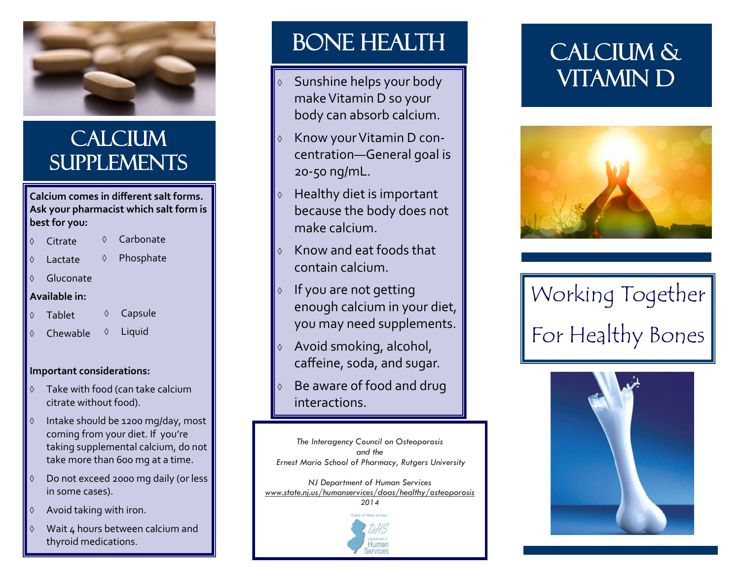

### **CALCIUM SUPPLEMENTS**

#### **Calcium comes in different salt forms. Ask your pharmacist which salt form is best for you:**

- $\Diamond$  Citrate **Carbonate**
- Lactate ♦ Phosphate
- ♦ Gluconate

#### **Available in:**

- Tablet Capsule
- ♦ Chewable Liquid

#### **Important considerations:**

- Take with food (can take calcium citrate without food).
- $\Diamond$  Intake should be 1200 mg/day, most coming from your diet. If you're taking supplemental calcium, do not take more than 600 mg at a time.
- Do not exceed 2000 mg daily (or less in some cases).
- $\Diamond$  Avoid taking with iron.
- Wait 4 hours between calcium and thyroid medications.

## BONE HEALTH

- $\circ$  Sunshine helps your body make Vitamin D so your body can absorb calcium.
- Know your Vitamin D concentration—General goal is 20-50 ng/mL.
- $\lozenge$  Healthy diet is important because the body does not make calcium.
- $\Diamond$  Know and eat foods that contain calcium.
- $\circ$  If you are not getting enough calcium in your diet, you may need supplements.
- Avoid smoking, alcohol, caffeine, soda, and sugar.
- Be aware of food and drug interactions.

*The Interagency Council on Osteoporosis and the Ernest Mario School of Pharmacy, Rutgers University*

*NJ Department of Human Services www.state.nj.us/humanservices/doas/healthy/osteoporosis 2014*

Human

### CALCIUM & VITAMIN D



# Working Together For Healthy Bones